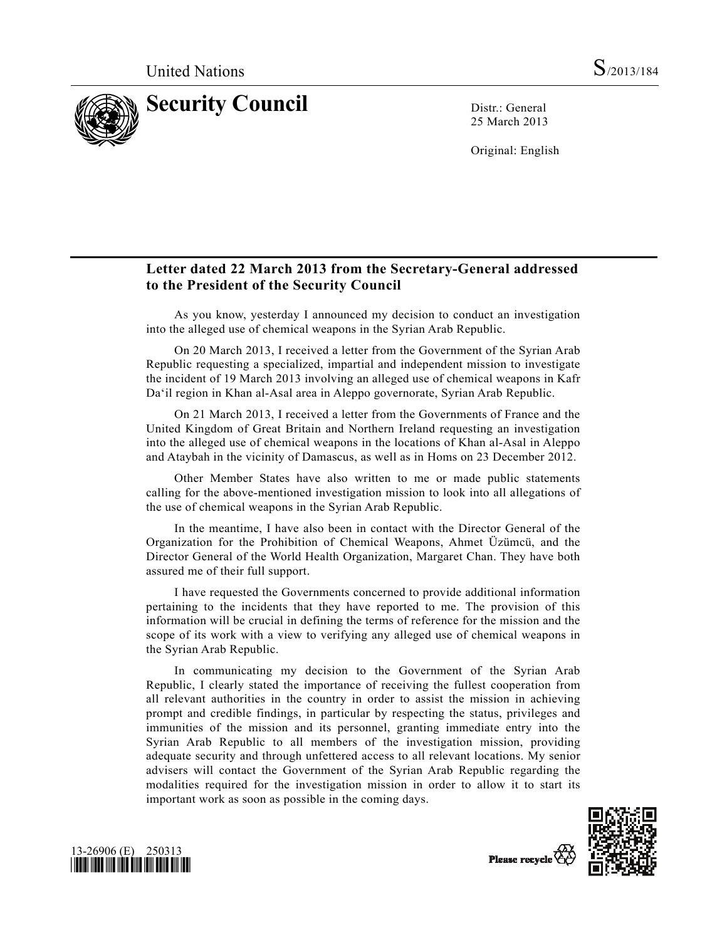

25 March 2013

Original: English

## **Letter dated 22 March 2013 from the Secretary-General addressed to the President of the Security Council**

 As you know, yesterday I announced my decision to conduct an investigation into the alleged use of chemical weapons in the Syrian Arab Republic.

 On 20 March 2013, I received a letter from the Government of the Syrian Arab Republic requesting a specialized, impartial and independent mission to investigate the incident of 19 March 2013 involving an alleged use of chemical weapons in Kafr Da'il region in Khan al-Asal area in Aleppo governorate, Syrian Arab Republic.

 On 21 March 2013, I received a letter from the Governments of France and the United Kingdom of Great Britain and Northern Ireland requesting an investigation into the alleged use of chemical weapons in the locations of Khan al-Asal in Aleppo and Ataybah in the vicinity of Damascus, as well as in Homs on 23 December 2012.

 Other Member States have also written to me or made public statements calling for the above-mentioned investigation mission to look into all allegations of the use of chemical weapons in the Syrian Arab Republic.

 In the meantime, I have also been in contact with the Director General of the Organization for the Prohibition of Chemical Weapons, Ahmet Üzümcü, and the Director General of the World Health Organization, Margaret Chan. They have both assured me of their full support.

 I have requested the Governments concerned to provide additional information pertaining to the incidents that they have reported to me. The provision of this information will be crucial in defining the terms of reference for the mission and the scope of its work with a view to verifying any alleged use of chemical weapons in the Syrian Arab Republic.

 In communicating my decision to the Government of the Syrian Arab Republic, I clearly stated the importance of receiving the fullest cooperation from all relevant authorities in the country in order to assist the mission in achieving prompt and credible findings, in particular by respecting the status, privileges and immunities of the mission and its personnel, granting immediate entry into the Syrian Arab Republic to all members of the investigation mission, providing adequate security and through unfettered access to all relevant locations. My senior advisers will contact the Government of the Syrian Arab Republic regarding the modalities required for the investigation mission in order to allow it to start its important work as soon as possible in the coming days.





Please recycle  $\overline{\mathcal{C}}$